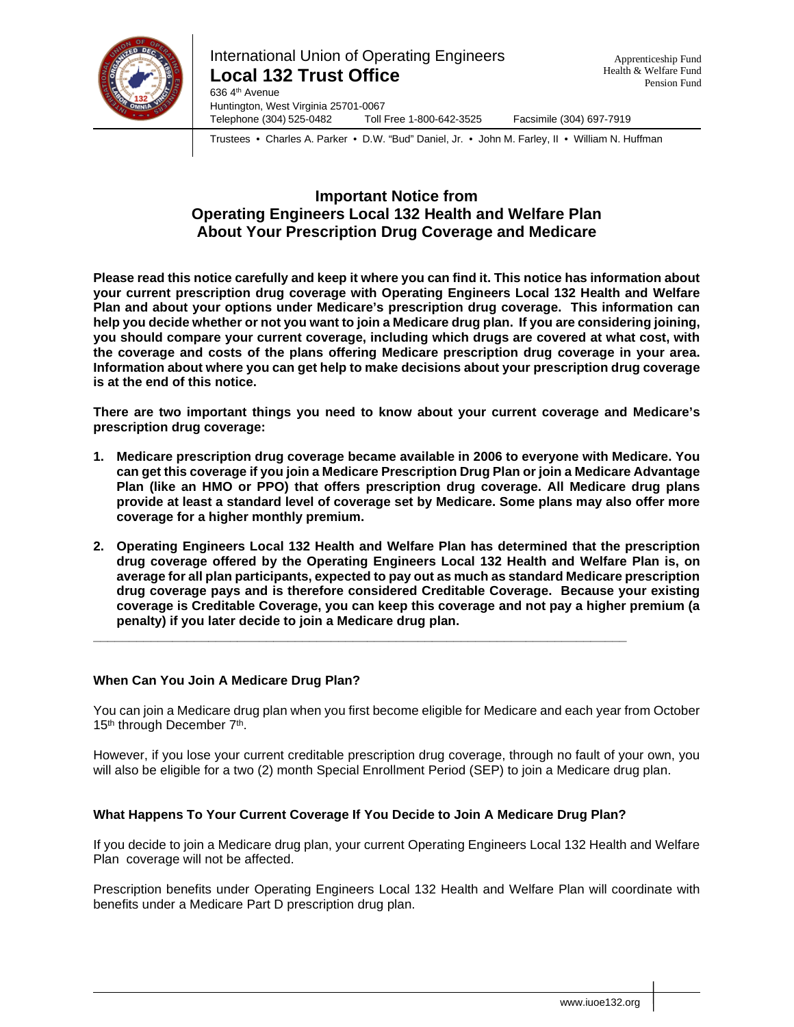

Telephone (304) 525-0482 Toll Free 1-800-642-3525 Facsimile (304) 697-7919

Trustees • Charles A. Parker • D.W. "Bud" Daniel, Jr. • John M. Farley, II • William N. Huffman

# **Important Notice from Operating Engineers Local 132 Health and Welfare Plan About Your Prescription Drug Coverage and Medicare**

**Please read this notice carefully and keep it where you can find it. This notice has information about your current prescription drug coverage with Operating Engineers Local 132 Health and Welfare Plan and about your options under Medicare's prescription drug coverage. This information can help you decide whether or not you want to join a Medicare drug plan. If you are considering joining, you should compare your current coverage, including which drugs are covered at what cost, with the coverage and costs of the plans offering Medicare prescription drug coverage in your area. Information about where you can get help to make decisions about your prescription drug coverage is at the end of this notice.**

**There are two important things you need to know about your current coverage and Medicare's prescription drug coverage:** 

- **1. Medicare prescription drug coverage became available in 2006 to everyone with Medicare. You can get this coverage if you join a Medicare Prescription Drug Plan or join a Medicare Advantage Plan (like an HMO or PPO) that offers prescription drug coverage. All Medicare drug plans provide at least a standard level of coverage set by Medicare. Some plans may also offer more coverage for a higher monthly premium.**
- **2. Operating Engineers Local 132 Health and Welfare Plan has determined that the prescription drug coverage offered by the Operating Engineers Local 132 Health and Welfare Plan is, on average for all plan participants, expected to pay out as much as standard Medicare prescription drug coverage pays and is therefore considered Creditable Coverage. Because your existing coverage is Creditable Coverage, you can keep this coverage and not pay a higher premium (a penalty) if you later decide to join a Medicare drug plan.**

#### **When Can You Join A Medicare Drug Plan?**

You can join a Medicare drug plan when you first become eligible for Medicare and each year from October 15<sup>th</sup> through December 7<sup>th</sup>.

However, if you lose your current creditable prescription drug coverage, through no fault of your own, you will also be eligible for a two (2) month Special Enrollment Period (SEP) to join a Medicare drug plan.

#### **What Happens To Your Current Coverage If You Decide to Join A Medicare Drug Plan?**

**\_\_\_\_\_\_\_\_\_\_\_\_\_\_\_\_\_\_\_\_\_\_\_\_\_\_\_\_\_\_\_\_\_\_\_\_\_\_\_\_\_\_\_\_\_\_\_\_\_\_\_\_\_\_\_\_\_\_\_\_\_\_\_\_\_\_\_\_\_\_\_\_\_\_**

If you decide to join a Medicare drug plan, your current Operating Engineers Local 132 Health and Welfare Plan coverage will not be affected.

Prescription benefits under Operating Engineers Local 132 Health and Welfare Plan will coordinate with benefits under a Medicare Part D prescription drug plan.